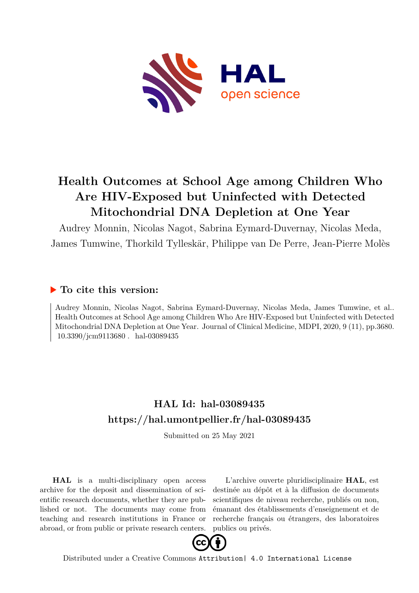

# **Health Outcomes at School Age among Children Who Are HIV-Exposed but Uninfected with Detected Mitochondrial DNA Depletion at One Year**

Audrey Monnin, Nicolas Nagot, Sabrina Eymard-Duvernay, Nicolas Meda, James Tumwine, Thorkild Tylleskär, Philippe van De Perre, Jean-Pierre Molès

# **To cite this version:**

Audrey Monnin, Nicolas Nagot, Sabrina Eymard-Duvernay, Nicolas Meda, James Tumwine, et al.. Health Outcomes at School Age among Children Who Are HIV-Exposed but Uninfected with Detected Mitochondrial DNA Depletion at One Year. Journal of Clinical Medicine, MDPI, 2020, 9 (11), pp.3680. 10.3390/jcm9113680.hal-03089435

# **HAL Id: hal-03089435 <https://hal.umontpellier.fr/hal-03089435>**

Submitted on 25 May 2021

**HAL** is a multi-disciplinary open access archive for the deposit and dissemination of scientific research documents, whether they are published or not. The documents may come from teaching and research institutions in France or abroad, or from public or private research centers.

L'archive ouverte pluridisciplinaire **HAL**, est destinée au dépôt et à la diffusion de documents scientifiques de niveau recherche, publiés ou non, émanant des établissements d'enseignement et de recherche français ou étrangers, des laboratoires publics ou privés.



Distributed under a Creative Commons [Attribution| 4.0 International License](http://creativecommons.org/licenses/by/4.0/)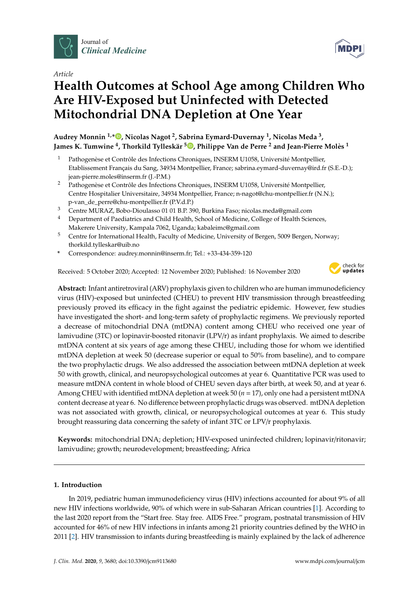

*Article*

# **Health Outcomes at School Age among Children Who Are HIV-Exposed but Uninfected with Detected Mitochondrial DNA Depletion at One Year**

**Audrey Monnin 1,\* [,](https://orcid.org/0000-0002-0034-8918) Nicolas Nagot <sup>2</sup> , Sabrina Eymard-Duvernay <sup>1</sup> , Nicolas Meda <sup>3</sup> , James K. Tumwine <sup>4</sup> , Thorkild Tylleskär <sup>5</sup> [,](https://orcid.org/0000-0003-4801-4324) Philippe Van de Perre <sup>2</sup> and Jean-Pierre Molès 1**

- <sup>1</sup> Pathogenèse et Contrôle des Infections Chroniques, INSERM U1058, Université Montpellier, Etablissement Français du Sang, 34934 Montpellier, France; sabrina.eymard-duvernay@ird.fr (S.E.-D.); jean-pierre.moles@inserm.fr (J.-P.M.)
- <sup>2</sup> Pathogenèse et Contrôle des Infections Chroniques, INSERM U1058, Université Montpellier, Centre Hospitalier Universitaire, 34934 Montpellier, France; n-nagot@chu-montpellier.fr (N.N.); p-van\_de\_perre@chu-montpellier.fr (P.V.d.P.)
- <sup>3</sup> Centre MURAZ, Bobo-Dioulasso 01 01 B.P. 390, Burkina Faso; nicolas.meda@gmail.com
- <sup>4</sup> Department of Paediatrics and Child Health, School of Medicine, College of Health Sciences, Makerere University, Kampala 7062, Uganda; kabaleimc@gmail.com
- <sup>5</sup> Centre for International Health, Faculty of Medicine, University of Bergen, 5009 Bergen, Norway; thorkild.tylleskar@uib.no
- **\*** Correspondence: audrey.monnin@inserm.fr; Tel.: +33-434-359-120

Received: 5 October 2020; Accepted: 12 November 2020; Published: 16 November 2020



**Abstract:** Infant antiretroviral (ARV) prophylaxis given to children who are human immunodeficiency virus (HIV)-exposed but uninfected (CHEU) to prevent HIV transmission through breastfeeding previously proved its efficacy in the fight against the pediatric epidemic. However, few studies have investigated the short- and long-term safety of prophylactic regimens. We previously reported a decrease of mitochondrial DNA (mtDNA) content among CHEU who received one year of lamivudine (3TC) or lopinavir-boosted ritonavir (LPV/r) as infant prophylaxis. We aimed to describe mtDNA content at six years of age among these CHEU, including those for whom we identified mtDNA depletion at week 50 (decrease superior or equal to 50% from baseline), and to compare the two prophylactic drugs. We also addressed the association between mtDNA depletion at week 50 with growth, clinical, and neuropsychological outcomes at year 6. Quantitative PCR was used to measure mtDNA content in whole blood of CHEU seven days after birth, at week 50, and at year 6. Among CHEU with identified mtDNA depletion at week 50 (*n* = 17), only one had a persistent mtDNA content decrease at year 6. No difference between prophylactic drugs was observed. mtDNA depletion was not associated with growth, clinical, or neuropsychological outcomes at year 6. This study brought reassuring data concerning the safety of infant 3TC or LPV/r prophylaxis.

Keywords: mitochondrial DNA; depletion; HIV-exposed uninfected children; lopinavir/ritonavir; lamivudine; growth; neurodevelopment; breastfeeding; Africa

### **1. Introduction**

In 2019, pediatric human immunodeficiency virus (HIV) infections accounted for about 9% of all new HIV infections worldwide, 90% of which were in sub-Saharan African countries [1]. According to the last 2020 report from the "Start free. Stay free. AIDS Free." program, postnatal transmission of HIV accounted for 46% of new HIV infections in infants among 21 priority countries defined by the WHO in 2011 [2]. HIV transmission to infants during breastfeeding is mainly explained by the lack of adherence

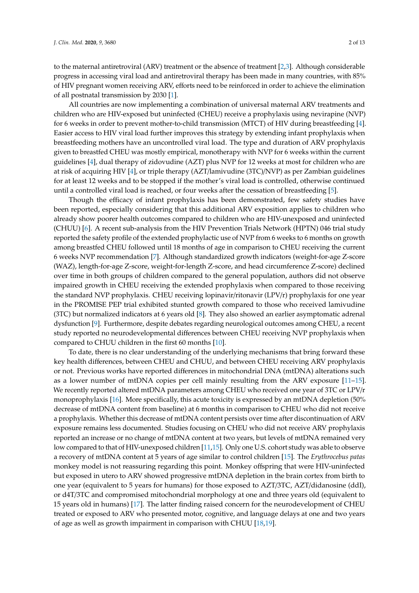to the maternal antiretroviral (ARV) treatment or the absence of treatment [2,3]. Although considerable progress in accessing viral load and antiretroviral therapy has been made in many countries, with 85% of HIV pregnant women receiving ARV, efforts need to be reinforced in order to achieve the elimination of all postnatal transmission by 2030 [1].

All countries are now implementing a combination of universal maternal ARV treatments and children who are HIV-exposed but uninfected (CHEU) receive a prophylaxis using nevirapine (NVP) for 6 weeks in order to prevent mother-to-child transmission (MTCT) of HIV during breastfeeding [4]. Easier access to HIV viral load further improves this strategy by extending infant prophylaxis when breastfeeding mothers have an uncontrolled viral load. The type and duration of ARV prophylaxis given to breastfed CHEU was mostly empirical, monotherapy with NVP for 6 weeks within the current guidelines [4], dual therapy of zidovudine (AZT) plus NVP for 12 weeks at most for children who are at risk of acquiring HIV [4], or triple therapy (AZT/lamivudine (3TC)/NVP) as per Zambian guidelines for at least 12 weeks and to be stopped if the mother's viral load is controlled, otherwise continued until a controlled viral load is reached, or four weeks after the cessation of breastfeeding [5].

Though the efficacy of infant prophylaxis has been demonstrated, few safety studies have been reported, especially considering that this additional ARV exposition applies to children who already show poorer health outcomes compared to children who are HIV-unexposed and uninfected (CHUU) [6]. A recent sub-analysis from the HIV Prevention Trials Network (HPTN) 046 trial study reported the safety profile of the extended prophylactic use of NVP from 6 weeks to 6 months on growth among breastfed CHEU followed until 18 months of age in comparison to CHEU receiving the current 6 weeks NVP recommendation [7]. Although standardized growth indicators (weight-for-age Z-score (WAZ), length-for-age Z-score, weight-for-length Z-score, and head circumference Z-score) declined over time in both groups of children compared to the general population, authors did not observe impaired growth in CHEU receiving the extended prophylaxis when compared to those receiving the standard NVP prophylaxis. CHEU receiving lopinavir/ritonavir (LPV/r) prophylaxis for one year in the PROMISE PEP trial exhibited stunted growth compared to those who received lamivudine (3TC) but normalized indicators at 6 years old [8]. They also showed an earlier asymptomatic adrenal dysfunction [9]. Furthermore, despite debates regarding neurological outcomes among CHEU, a recent study reported no neurodevelopmental differences between CHEU receiving NVP prophylaxis when compared to CHUU children in the first 60 months [10].

To date, there is no clear understanding of the underlying mechanisms that bring forward these key health differences, between CHEU and CHUU, and between CHEU receiving ARV prophylaxis or not. Previous works have reported differences in mitochondrial DNA (mtDNA) alterations such as a lower number of mtDNA copies per cell mainly resulting from the ARV exposure [11–15]. We recently reported altered mtDNA parameters among CHEU who received one year of 3TC or LPV/r monoprophylaxis [16]. More specifically, this acute toxicity is expressed by an mtDNA depletion (50% decrease of mtDNA content from baseline) at 6 months in comparison to CHEU who did not receive a prophylaxis. Whether this decrease of mtDNA content persists over time after discontinuation of ARV exposure remains less documented. Studies focusing on CHEU who did not receive ARV prophylaxis reported an increase or no change of mtDNA content at two years, but levels of mtDNA remained very low compared to that of HIV-unexposed children [11,15]. Only one U.S. cohort study was able to observe a recovery of mtDNA content at 5 years of age similar to control children [15]. The *Erythrocebus patas* monkey model is not reassuring regarding this point. Monkey offspring that were HIV-uninfected but exposed in utero to ARV showed progressive mtDNA depletion in the brain cortex from birth to one year (equivalent to 5 years for humans) for those exposed to AZT/3TC, AZT/didanosine (ddI), or d4T/3TC and compromised mitochondrial morphology at one and three years old (equivalent to 15 years old in humans) [17]. The latter finding raised concern for the neurodevelopment of CHEU treated or exposed to ARV who presented motor, cognitive, and language delays at one and two years of age as well as growth impairment in comparison with CHUU [18,19].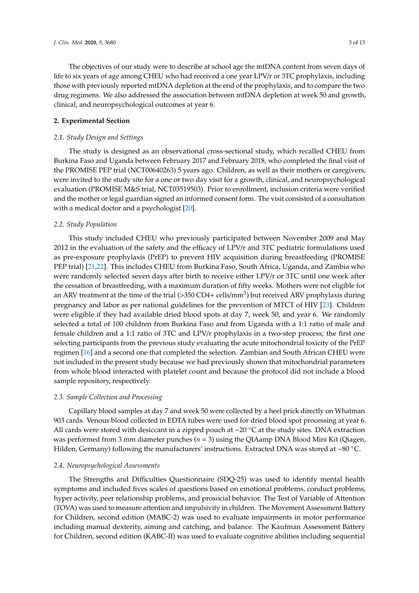The objectives of our study were to describe at school age the mtDNA content from seven days of life to six years of age among CHEU who had received a one year LPV/r or 3TC prophylaxis, including those with previously reported mtDNA depletion at the end of the prophylaxis, and to compare the two drug regimens. We also addressed the association between mtDNA depletion at week 50 and growth, clinical, and neuropsychological outcomes at year 6.

#### **2. Experimental Section**

#### *2.1. Study Design and Settings*

The study is designed as an observational cross-sectional study, which recalled CHEU from Burkina Faso and Uganda between February 2017 and February 2018, who completed the final visit of the PROMISE PEP trial (NCT00640263) 5 years ago. Children, as well as their mothers or caregivers, were invited to the study site for a one or two day visit for a growth, clinical, and neuropsychological evaluation (PROMISE M&S trial, NCT03519503). Prior to enrollment, inclusion criteria were verified and the mother or legal guardian signed an informed consent form. The visit consisted of a consultation with a medical doctor and a psychologist [20].

#### *2.2. Study Population*

This study included CHEU who previously participated between November 2009 and May 2012 in the evaluation of the safety and the efficacy of LPV/r and 3TC pediatric formulations used as pre-exposure prophylaxis (PrEP) to prevent HIV acquisition during breastfeeding (PROMISE PEP trial) [21,22]. This includes CHEU from Burkina Faso, South Africa, Uganda, and Zambia who were randomly selected seven days after birth to receive either LPV/r or 3TC until one week after the cessation of breastfeeding, with a maximum duration of fifty weeks. Mothers were not eligible for an ARV treatment at the time of the trial (>350 CD4+ cells/mm<sup>3</sup>) but received ARV prophylaxis during pregnancy and labor as per national guidelines for the prevention of MTCT of HIV [23]. Children were eligible if they had available dried blood spots at day 7, week 50, and year 6. We randomly selected a total of 100 children from Burkina Faso and from Uganda with a 1:1 ratio of male and female children and a 1:1 ratio of 3TC and LPV/r prophylaxis in a two-step process; the first one selecting participants from the previous study evaluating the acute mitochondrial toxicity of the PrEP regimen [16] and a second one that completed the selection. Zambian and South African CHEU were not included in the present study because we had previously shown that mitochondrial parameters from whole blood interacted with platelet count and because the protocol did not include a blood sample repository, respectively.

#### *2.3. Sample Collection and Processing*

Capillary blood samples at day 7 and week 50 were collected by a heel prick directly on Whatman 903 cards. Venous blood collected in EDTA tubes were used for dried blood spot processing at year 6. All cards were stored with desiccant in a zipped pouch at −20 ◦C at the study sites. DNA extraction was performed from 3 mm diameter punches (*n* = 3) using the QIAamp DNA Blood Mini Kit (Qiagen, Hilden, Germany) following the manufacturers' instructions. Extracted DNA was stored at −80 ◦C.

#### *2.4. Neuropsychological Assessments*

The Strengths and Difficulties Questionnaire (SDQ-25) was used to identify mental health symptoms and included fives scales of questions based on emotional problems, conduct problems, hyper activity, peer relationship problems, and prosocial behavior. The Test of Variable of Attention (TOVA) was used to measure attention and impulsivity in children. The Movement Assessment Battery for Children, second edition (MABC-2) was used to evaluate impairments in motor performance including manual dexterity, aiming and catching, and balance. The Kaufman Assessment Battery for Children, second edition (KABC-II) was used to evaluate cognitive abilities including sequential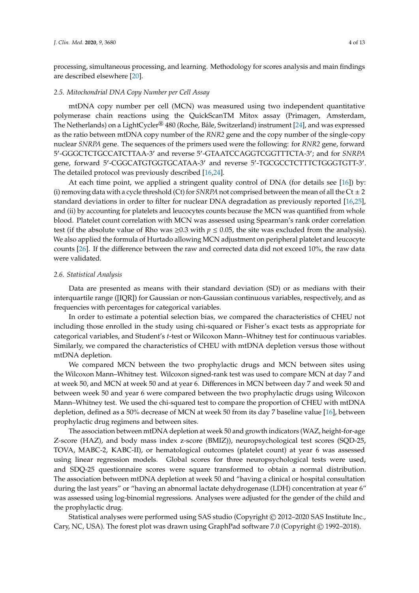processing, simultaneous processing, and learning. Methodology for scores analysis and main findings are described elsewhere [20].

#### *2.5. Mitochondrial DNA Copy Number per Cell Assay*

mtDNA copy number per cell (MCN) was measured using two independent quantitative polymerase chain reactions using the QuickScanTM Mitox assay (Primagen, Amsterdam, The Netherlands) on a LightCycler® 480 (Roche, Bâle, Switzerland) instrument [24], and was expressed as the ratio between mtDNA copy number of the *RNR2* gene and the copy number of the single-copy nuclear *SNRPA* gene. The sequences of the primers used were the following: for *RNR2* gene, forward 5'-GGGCTCTGCCATCTTAA-3' and reverse 5'-GTAATCCAGGTCGGTTTCTA-3'; and for *SNRPA* gene, forward 5'-CGGCATGTGGTGCATAA-3' and reverse 5'-TGCGCCTCTTTCTGGGTGTT-3'. The detailed protocol was previously described [16,24].

At each time point, we applied a stringent quality control of DNA (for details see [16]) by: (i) removing data with a cycle threshold (Ct) for *SNRPA* not comprised between the mean of all the Ct  $\pm 2$ standard deviations in order to filter for nuclear DNA degradation as previously reported [16,25], and (ii) by accounting for platelets and leucocytes counts because the MCN was quantified from whole blood. Platelet count correlation with MCN was assessed using Spearman's rank order correlation test (if the absolute value of Rho was  $\geq 0.3$  with  $p \leq 0.05$ , the site was excluded from the analysis). We also applied the formula of Hurtado allowing MCN adjustment on peripheral platelet and leucocyte counts [26]. If the difference between the raw and corrected data did not exceed 10%, the raw data were validated.

#### *2.6. Statistical Analysis*

Data are presented as means with their standard deviation (SD) or as medians with their interquartile range ([IQR]) for Gaussian or non-Gaussian continuous variables, respectively, and as frequencies with percentages for categorical variables.

In order to estimate a potential selection bias, we compared the characteristics of CHEU not including those enrolled in the study using chi-squared or Fisher's exact tests as appropriate for categorical variables, and Student's *t*-test or Wilcoxon Mann–Whitney test for continuous variables. Similarly, we compared the characteristics of CHEU with mtDNA depletion versus those without mtDNA depletion.

We compared MCN between the two prophylactic drugs and MCN between sites using the Wilcoxon Mann–Whitney test. Wilcoxon signed-rank test was used to compare MCN at day 7 and at week 50, and MCN at week 50 and at year 6. Differences in MCN between day 7 and week 50 and between week 50 and year 6 were compared between the two prophylactic drugs using Wilcoxon Mann–Whitney test. We used the chi-squared test to compare the proportion of CHEU with mtDNA depletion, defined as a 50% decrease of MCN at week 50 from its day 7 baseline value [16], between prophylactic drug regimens and between sites.

The association between mtDNA depletion at week 50 and growth indicators (WAZ, height-for-age Z-score (HAZ), and body mass index z-score (BMIZ)), neuropsychological test scores (SQD-25, TOVA, MABC-2, KABC-II), or hematological outcomes (platelet count) at year 6 was assessed using linear regression models. Global scores for three neuropsychological tests were used, and SDQ-25 questionnaire scores were square transformed to obtain a normal distribution. The association between mtDNA depletion at week 50 and "having a clinical or hospital consultation during the last years" or "having an abnormal lactate dehydrogenase (LDH) concentration at year 6" was assessed using log-binomial regressions. Analyses were adjusted for the gender of the child and the prophylactic drug.

Statistical analyses were performed using SAS studio (Copyright © 2012–2020 SAS Institute Inc., Cary, NC, USA). The forest plot was drawn using GraphPad software 7.0 (Copyright © 1992–2018).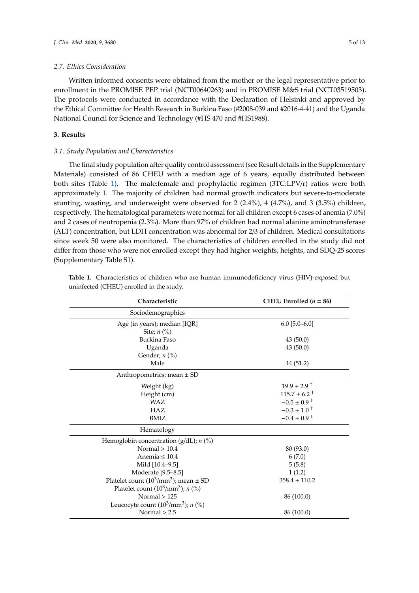#### *2.7. Ethics Consideration*

Written informed consents were obtained from the mother or the legal representative prior to enrollment in the PROMISE PEP trial (NCT00640263) and in PROMISE M&S trial (NCT03519503). The protocols were conducted in accordance with the Declaration of Helsinki and approved by the Ethical Committee for Health Research in Burkina Faso (#2008-039 and #2016-4-41) and the Uganda National Council for Science and Technology (#HS 470 and #HS1988).

## **3. Results**

#### *3.1. Study Population and Characteristics*

The final study population after quality control assessment (see Result details in the Supplementary Materials) consisted of 86 CHEU with a median age of 6 years, equally distributed between both sites (Table 1). The male:female and prophylactic regimen (3TC:LPV/r) ratios were both approximately 1. The majority of children had normal growth indicators but severe-to-moderate stunting, wasting, and underweight were observed for 2 (2.4%), 4 (4.7%), and 3 (3.5%) children, respectively. The hematological parameters were normal for all children except 6 cases of anemia (7.0%) and 2 cases of neutropenia (2.3%). More than 97% of children had normal alanine aminotransferase (ALT) concentration, but LDH concentration was abnormal for 2/3 of children. Medical consultations since week 50 were also monitored. The characteristics of children enrolled in the study did not differ from those who were not enrolled except they had higher weights, heights, and SDQ-25 scores (Supplementary Table S1).

| Characteristic                                               | CHEU Enrolled $(n = 86)$    |
|--------------------------------------------------------------|-----------------------------|
| Sociodemographics                                            |                             |
| Age (in years); median [IQR]<br>Site; $n$ $\left(\% \right)$ | $6.0$ [5.0–6.0]             |
| Burkina Faso                                                 | 43(50.0)                    |
| Uganda                                                       | 43(50.0)                    |
| Gender; $n$ (%)                                              |                             |
| Male                                                         | 44 (51.2)                   |
| Anthropometrics; mean ± SD                                   |                             |
| Weight (kg)                                                  | $19.9 \pm 2.9$ <sup>+</sup> |
| Height (cm)                                                  | $115.7 \pm 6.2^+$           |
| <b>WAZ</b>                                                   | $-0.5 \pm 0.9$ <sup>+</sup> |
| <b>HAZ</b>                                                   | $-0.3 \pm 1.0^+$            |
| <b>BMIZ</b>                                                  | $-0.4 \pm 0.9$ <sup>+</sup> |
| Hematology                                                   |                             |
| Hemoglobin concentration ( $g/dL$ ); <i>n</i> (%)            |                             |
| Normal $> 10.4$                                              | 80 (93.0)                   |
| Anemia $<$ 10.4                                              | 6(7.0)                      |
| Mild [10.4-9.5]                                              | 5(5.8)                      |
| Moderate [9.5-8.5]                                           | 1(1.2)                      |
| Platelet count $(10^3/\text{mm}^3)$ ; mean $\pm$ SD          | $358.4 \pm 110.2$           |
| Platelet count $(10^3/\text{mm}^3)$ ; n (%)                  |                             |
| Normal $> 125$                                               | 86 (100.0)                  |
| Leucocyte count $(10^3/\text{mm}^3)$ ; n (%)                 |                             |
| Normal $> 2.5$                                               | 86 (100.0)                  |

Table 1. Characteristics of children who are human immunodeficiency virus (HIV)-exposed but uninfected (CHEU) enrolled in the study.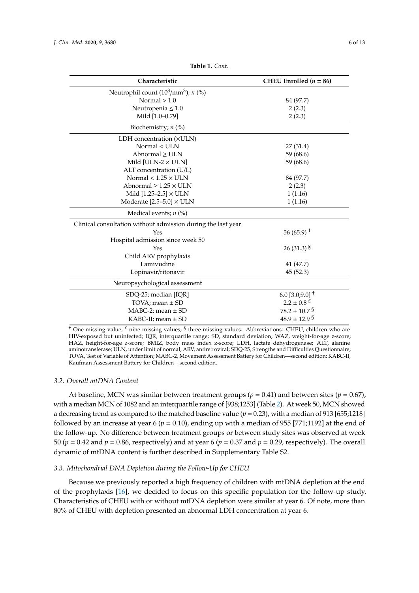| Characteristic                                               | CHEU Enrolled $(n = 86)$     |
|--------------------------------------------------------------|------------------------------|
| Neutrophil count $(10^3/\text{mm}^3)$ ; <i>n</i> $(\%)$      |                              |
| Normal $> 1.0$                                               | 84 (97.7)                    |
| Neutropenia $\leq 1.0$                                       | 2(2.3)                       |
| Mild [1.0-0.79]                                              | 2(2.3)                       |
| Biochemistry; $n$ (%)                                        |                              |
| LDH concentration ( $\times$ ULN)                            |                              |
| Normal < ULN                                                 | 27(31.4)                     |
| $Abnormal \geq ULN$                                          | 59 (68.6)                    |
| Mild [ULN-2 $\times$ ULN]                                    | 59 (68.6)                    |
| ALT concentration (U/L)                                      |                              |
| Normal $< 1.25 \times$ ULN                                   | 84 (97.7)                    |
| Abnormal $\geq 1.25 \times ULN$                              | 2(2.3)                       |
| Mild $[1.25 - 2.5] \times$ ULN                               | 1(1.16)                      |
| Moderate $[2.5-5.0] \times ULN$                              | 1(1.16)                      |
| Medical events; $n$ (%)                                      |                              |
| Clinical consultation without admission during the last year |                              |
| Yes                                                          | $56(65.9)^{+}$               |
| Hospital admission since week 50                             |                              |
| Yes                                                          | $26(31.3)^{S}$               |
| Child ARV prophylaxis                                        |                              |
| Lamivudine                                                   | 41 (47.7)                    |
| Lopinavir/ritonavir                                          | 45(52.3)                     |
| Neuropsychological assessment                                |                              |
| SDQ-25; median [IQR]                                         | 6.0 [3.0;9.0] $^{\dagger}$   |
| TOVA; mean $\pm$ SD                                          | $2.2 \pm 0.8$ <sup>£</sup>   |
| $MABC-2$ ; mean $\pm$ SD                                     | $78.2 \pm 10.7$ <sup>§</sup> |
| KABC-II; mean $\pm$ SD                                       | $48.9 \pm 12.9$ s            |

**Table 1.** *Cont*.

<sup>†</sup> One missing value, <sup>£</sup> nine missing values, <sup>§</sup> three missing values. Abbreviations: CHEU, children who are HIV-exposed but uninfected; IQR, interquartile range; SD, standard deviation; WAZ, weight-for-age z-score; HAZ, height-for-age z-score; BMIZ, body mass index z-score; LDH, lactate dehydrogenase; ALT, alanine aminotransferase; ULN, under limit of normal; ARV, antiretroviral; SDQ-25, Strengths and Difficulties Questionnaire; TOVA, Test of Variable of Attention; MABC-2, Movement Assessment Battery for Children—second edition; KABC-II, Kaufman Assessment Battery for Children—second edition.

#### *3.2. Overall mtDNA Content*

At baseline, MCN was similar between treatment groups ( $p = 0.41$ ) and between sites ( $p = 0.67$ ), with a median MCN of 1082 and an interquartile range of [938;1253] (Table 2). At week 50, MCN showed a decreasing trend as compared to the matched baseline value ( $p = 0.23$ ), with a median of 913 [655;1218] followed by an increase at year 6 ( $p = 0.10$ ), ending up with a median of 955 [771;1192] at the end of the follow-up. No difference between treatment groups or between study sites was observed at week 50 ( $p = 0.42$  and  $p = 0.86$ , respectively) and at year 6 ( $p = 0.37$  and  $p = 0.29$ , respectively). The overall dynamic of mtDNA content is further described in Supplementary Table S2.

#### *3.3. Mitochondrial DNA Depletion during the Follow-Up for CHEU*

Because we previously reported a high frequency of children with mtDNA depletion at the end of the prophylaxis [16], we decided to focus on this specific population for the follow-up study. Characteristics of CHEU with or without mtDNA depletion were similar at year 6. Of note, more than 80% of CHEU with depletion presented an abnormal LDH concentration at year 6.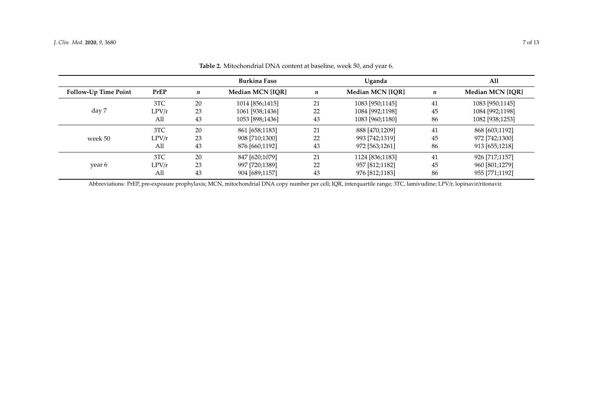|                             |       |    | <b>Burkina Faso</b> |    | Uganda                  |                  | All              |
|-----------------------------|-------|----|---------------------|----|-------------------------|------------------|------------------|
| <b>Follow-Up Time Point</b> | PrEP  | n  | Median MCN [IOR]    | n  | <b>Median MCN [IOR]</b> | $\boldsymbol{n}$ | Median MCN [IOR] |
|                             | 3TC   | 20 | 1014 [856;1415]     | 21 | 1083 [950;1145]         | 41               | 1083 [950;1145]  |
| day 7                       | LPV/r | 23 | 1061 [938;1436]     | 22 | 1084 [992;1198]         | 45               | 1084 [992;1198]  |
|                             | All   | 43 | 1053 [898;1436]     | 43 | 1083 [960;1180]         | 86               | 1082 [938;1253]  |
|                             | 3TC   | 20 | 861 [658;1183]      | 21 | 888 [470;1209]          | 41               | 868 [603;1192]   |
| week 50                     | LPV/r | 23 | 908 [710;1300]      | 22 | 993 [742;1319]          | 45               | 972 [742;1300]   |
|                             | All   | 43 | 876 [660;1192]      | 43 | 972 [563;1261]          | 86               | 913 [655;1218]   |
|                             | 3TC   | 20 | 847 [620;1079]      | 21 | 1124 [836;1183]         | 41               | 926 [717;1157]   |
| year 6                      | LPV/r | 23 | 997 [720;1389]      | 22 | 957 [812;1182]          | 45               | 960 [801;1279]   |
|                             | All   | 43 | 904 [689;1157]      | 43 | 976 [812;1183]          | 86               | 955 [771;1192]   |

**Table 2.** Mitochondrial DNA content at baseline, week 50, and year 6.

Abbreviations: PrEP, pre-exposure prophylaxis; MCN, mitochondrial DNA copy number per cell; IQR, interquartile range; 3TC, lamivudine; LPV/r, lopinavir/ritonavir.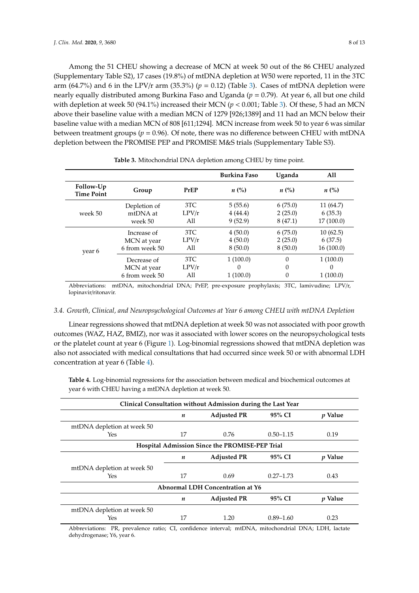Among the 51 CHEU showing a decrease of MCN at week 50 out of the 86 CHEU analyzed (Supplementary Table S2), 17 cases (19.8%) of mtDNA depletion at W50 were reported, 11 in the 3TC arm (64.7%) and 6 in the LPV/r arm (35.3%) ( $p = 0.12$ ) (Table 3). Cases of mtDNA depletion were nearly equally distributed among Burkina Faso and Uganda (*p* = 0.79). At year 6, all but one child with depletion at week 50 (94.1%) increased their MCN ( $p < 0.001$ ; Table 3). Of these, 5 had an MCN above their baseline value with a median MCN of 1279 [926;1389] and 11 had an MCN below their baseline value with a median MCN of 808 [611;1294]. MCN increase from week 50 to year 6 was similar between treatment groups ( $p = 0.96$ ). Of note, there was no difference between CHEU with mtDNA depletion between the PROMISE PEP and PROMISE M&S trials (Supplementary Table S3).

|                                |                |       | <b>Burkina Faso</b> | Uganda             | A11                |
|--------------------------------|----------------|-------|---------------------|--------------------|--------------------|
| Follow-Up<br><b>Time Point</b> | Group          | PrEP  | $n\ (\%)$           | $n\left(\%\right)$ | $n\left(\%\right)$ |
|                                | Depletion of   | 3TC   | 5(55.6)             | 6(75.0)            | 11 (64.7)          |
| week 50                        | mtDNA at       | LPV/r | 4(44.4)             | 2(25.0)            | 6(35.3)            |
|                                | week 50        | All   | 9(52.9)             | 8(47.1)            | 17 (100.0)         |
|                                | Increase of    | 3TC   | 4(50.0)             | 6(75.0)            | 10(62.5)           |
|                                | MCN at year    | LPV/r | 4(50.0)             | 2(25.0)            | 6(37.5)            |
| year 6                         | 6 from week 50 | All   | 8(50.0)             | 8(50.0)            | 16(100.0)          |
|                                | Decrease of    | 3TC   | 1(100.0)            | $\Omega$           | 1(100.0)           |
|                                | MCN at year    | LPV/r | 0                   | 0                  | 0                  |
|                                | 6 from week 50 | All   | 1(100.0)            | 0                  | 1(100.0)           |

**Table 3.** Mitochondrial DNA depletion among CHEU by time point.

Abbreviations: mtDNA, mitochondrial DNA; PrEP, pre-exposure prophylaxis; 3TC, lamivudine; LPV/r, lopinavir/ritonavir.

#### *3.4. Growth, Clinical, and Neuropsychological Outcomes at Year 6 among CHEU with mtDNA Depletion*

Linear regressions showed that mtDNA depletion at week 50 was not associated with poor growth outcomes (WAZ, HAZ, BMIZ), nor was it associated with lower scores on the neuropsychological tests or the platelet count at year 6 (Figure 1). Log-binomial regressions showed that mtDNA depletion was also not associated with medical consultations that had occurred since week 50 or with abnormal LDH concentration at year 6 (Table 4).

**Table 4.** Log-binomial regressions for the association between medical and biochemical outcomes at year 6 with CHEU having a mtDNA depletion at week 50.

| Clinical Consultation without Admission during the Last Year |                  |                    |               |                |  |  |  |
|--------------------------------------------------------------|------------------|--------------------|---------------|----------------|--|--|--|
|                                                              | n                | <b>Adjusted PR</b> | 95% CI        | <i>p</i> Value |  |  |  |
| mtDNA depletion at week 50                                   |                  |                    |               |                |  |  |  |
| Yes                                                          | 17               | 0.76               | $0.50 - 1.15$ | 0.19           |  |  |  |
| Hospital Admission Since the PROMISE-PEP Trial               |                  |                    |               |                |  |  |  |
|                                                              | n                | <b>Adjusted PR</b> | 95% CI        | <i>v</i> Value |  |  |  |
| mtDNA depletion at week 50                                   |                  |                    |               |                |  |  |  |
| Yes                                                          | 17               | 0.69               | $0.27 - 1.73$ | 0.43           |  |  |  |
| Abnormal LDH Concentration at Y6                             |                  |                    |               |                |  |  |  |
|                                                              | $\boldsymbol{n}$ | <b>Adjusted PR</b> | 95% CI        | <i>v</i> Value |  |  |  |
| mtDNA depletion at week 50                                   |                  |                    |               |                |  |  |  |
| Yes                                                          | 17               | 1.20               | $0.89 - 1.60$ | 0.23           |  |  |  |

Abbreviations: PR, prevalence ratio; CI, confidence interval; mtDNA, mitochondrial DNA; LDH, lactate dehydrogenase; Y6, year 6.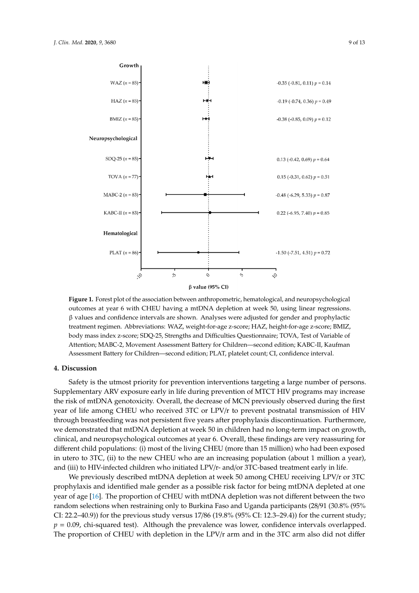

 $\beta$  value (95% CI)

outcomes at year 6 with CHEU having a mtDNA depletion at week 50, using linear regressions. β values and confidence intervals are shown. Analyses were adjusted for gender and prophylactic treatment regimen. Abbreviations: WAZ, weight-for-age z-score; HAZ, height-for-age z-score; BMIZ, body mass index z-score; SDQ-25, Strengths and Difficulties Questionnaire; TOVA, Test of Variable of Attention; MABC-2, Movement Assessment Battery for Children—second edition; KABC-II, Kaufman Assessment Battery for Children—second edition; PLAT, platelet count; CI, confidence interval. **Figure 1.** Forest plot of the association between anthropometric, hematological, and neuropsychological

### CI, confidence interval. **4. Discussion**

Supplementary ARV exposure early in life during prevention of MTCT HIV programs may increase the risk of mtDNA genotoxicity. Overall, the decrease of MCN previously observed during the first year of life among CHEU who received 3TC or LPV/r to prevent postnatal transmission of HIV through breastfeeding was not persistent five years after prophylaxis discontinuation. Furthermore, we demonstrated that mtDNA depletion at week 50 in children had no long-term impact on growth, clinical, and neuropsychological outcomes at year 6. Overall, these findings are very reassuring for **Hospital Admission Since the PROMISE-PEP Trial** different child populations: (i) most of the living CHEU (more than 15 million) who had been exposed in utero to 3TC, (ii) to the new CHEU who are an increasing population (about 1 million a year), and (iii) to HIV-infected children who initiated  $LPV/r$ - and/or 3TC-based treatment early in life. Safety is the utmost priority for prevention interventions targeting a large number of persons.

We previously described mtDNA depletion at week 50 among CHEU receiving LPV/r or 3TC prophylaxis and identified male gender as a possible risk factor for being mtDNA depleted at one year of age [16]. The proportion of CHEU with mtDNA depletion was not different between the two random selections when restraining only to Burkina Faso and Uganda participants (28/91 (30.8% (95%  $\,$  $CI: 22.2–40.9)$ ) for the previous study versus  $17/86$  ( $19.8\%$  ( $95\%$  CI:  $12.3–29.4$ )) for the current study;  $p = 0.09$ , chi-squared test). Although the prevalence was lower, confidence intervals overlapped. The proportion of CHEU with depletion in the LPV/r arm and in the 3TC arm also did not differ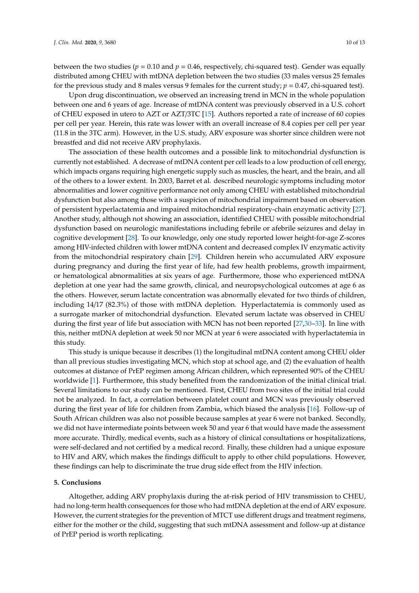between the two studies ( $p = 0.10$  and  $p = 0.46$ , respectively, chi-squared test). Gender was equally distributed among CHEU with mtDNA depletion between the two studies (33 males versus 25 females for the previous study and 8 males versus 9 females for the current study;  $p = 0.47$ , chi-squared test).

Upon drug discontinuation, we observed an increasing trend in MCN in the whole population between one and 6 years of age. Increase of mtDNA content was previously observed in a U.S. cohort of CHEU exposed in utero to AZT or AZT/3TC [15]. Authors reported a rate of increase of 60 copies per cell per year. Herein, this rate was lower with an overall increase of 8.4 copies per cell per year (11.8 in the 3TC arm). However, in the U.S. study, ARV exposure was shorter since children were not breastfed and did not receive ARV prophylaxis.

The association of these health outcomes and a possible link to mitochondrial dysfunction is currently not established. A decrease of mtDNA content per cell leads to a low production of cell energy, which impacts organs requiring high energetic supply such as muscles, the heart, and the brain, and all of the others to a lower extent. In 2003, Barret et al. described neurologic symptoms including motor abnormalities and lower cognitive performance not only among CHEU with established mitochondrial dysfunction but also among those with a suspicion of mitochondrial impairment based on observation of persistent hyperlactatemia and impaired mitochondrial respiratory-chain enzymatic activity [27]. Another study, although not showing an association, identified CHEU with possible mitochondrial dysfunction based on neurologic manifestations including febrile or afebrile seizures and delay in cognitive development [28]. To our knowledge, only one study reported lower height-for-age Z-scores among HIV-infected children with lower mtDNA content and decreased complex IV enzymatic activity from the mitochondrial respiratory chain [29]. Children herein who accumulated ARV exposure during pregnancy and during the first year of life, had few health problems, growth impairment, or hematological abnormalities at six years of age. Furthermore, those who experienced mtDNA depletion at one year had the same growth, clinical, and neuropsychological outcomes at age 6 as the others. However, serum lactate concentration was abnormally elevated for two thirds of children, including 14/17 (82.3%) of those with mtDNA depletion. Hyperlactatemia is commonly used as a surrogate marker of mitochondrial dysfunction. Elevated serum lactate was observed in CHEU during the first year of life but association with MCN has not been reported [27,30–33]. In line with this, neither mtDNA depletion at week 50 nor MCN at year 6 were associated with hyperlactatemia in this study.

This study is unique because it describes (1) the longitudinal mtDNA content among CHEU older than all previous studies investigating MCN, which stop at school age, and (2) the evaluation of health outcomes at distance of PrEP regimen among African children, which represented 90% of the CHEU worldwide [1]. Furthermore, this study benefited from the randomization of the initial clinical trial. Several limitations to our study can be mentioned. First, CHEU from two sites of the initial trial could not be analyzed. In fact, a correlation between platelet count and MCN was previously observed during the first year of life for children from Zambia, which biased the analysis [16]. Follow-up of South African children was also not possible because samples at year 6 were not banked. Secondly, we did not have intermediate points between week 50 and year 6 that would have made the assessment more accurate. Thirdly, medical events, such as a history of clinical consultations or hospitalizations, were self-declared and not certified by a medical record. Finally, these children had a unique exposure to HIV and ARV, which makes the findings difficult to apply to other child populations. However, these findings can help to discriminate the true drug side effect from the HIV infection.

#### **5. Conclusions**

Altogether, adding ARV prophylaxis during the at-risk period of HIV transmission to CHEU, had no long-term health consequences for those who had mtDNA depletion at the end of ARV exposure. However, the current strategies for the prevention of MTCT use different drugs and treatment regimens, either for the mother or the child, suggesting that such mtDNA assessment and follow-up at distance of PrEP period is worth replicating.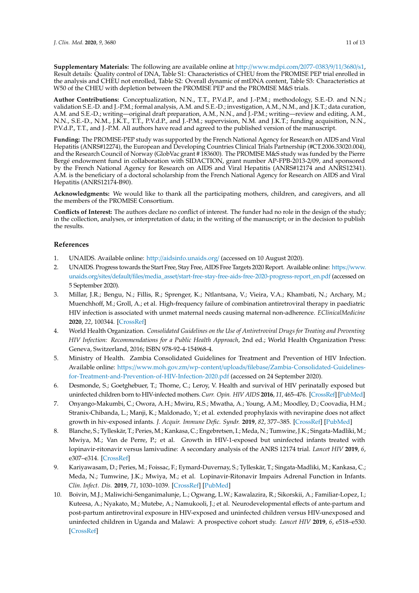**Supplementary Materials:** The following are available online at http://[www.mdpi.com](http://www.mdpi.com/2077-0383/9/11/3680/s1)/2077-0383/9/11/3680/s1, Result details: Quality control of DNA, Table S1: Characteristics of CHEU from the PROMISE PEP trial enrolled in the analysis and CHEU not enrolled, Table S2: Overall dynamic of mtDNA content, Table S3: Characteristics at W50 of the CHEU with depletion between the PROMISE PEP and the PROMISE M&S trials.

**Author Contributions:** Conceptualization, N.N., T.T., P.V.d.P., and J.-P.M.; methodology, S.E.-D. and N.N.; validation S.E.-D. and J.-P.M.; formal analysis, A.M. and S.E.-D.; investigation, A.M., N.M., and J.K.T.; data curation, A.M. and S.E.-D.; writing—original draft preparation, A.M., N.N., and J.-P.M.; writing—review and editing, A.M., N.N., S.E.-D., N.M., J.K.T., T.T., P.V.d.P., and J.-P.M.; supervision, N.M. and J.K.T.; funding acquisition, N.N., P.V.d.P., T.T., and J.-P.M. All authors have read and agreed to the published version of the manuscript.

**Funding:** The PROMISE-PEP study was supported by the French National Agency for Research on AIDS and Viral Hepatitis (ANRS#12274), the European and Developing Countries Clinical Trials Partnership (#CT.2006.33020.004), and the Research Council of Norway (GlobVac grant # 183600). The PROMISE M&S study was funded by the Pierre Bergé endowment fund in collaboration with SIDACTION, grant number AP-FPB-2013-2/09, and sponsored by the French National Agency for Research on AIDS and Viral Hepatitis (ANRS#12174 and ANRS12341). A.M. is the beneficiary of a doctoral scholarship from the French National Agency for Research on AIDS and Viral Hepatitis (ANRS12174-B90).

**Acknowledgments:** We would like to thank all the participating mothers, children, and caregivers, and all the members of the PROMISE Consortium.

**Conflicts of Interest:** The authors declare no conflict of interest. The funder had no role in the design of the study; in the collection, analyses, or interpretation of data; in the writing of the manuscript; or in the decision to publish the results.

### **References**

- 1. UNAIDS. Available online: http://[aidsinfo.unaids.org](http://aidsinfo.unaids.org/)/ (accessed on 10 August 2020).
- 2. UNAIDS. Progress towards the Start Free, Stay Free, AIDS Free Targets 2020 Report. Available online: https://[www.](https://www.unaids.org/sites/default/files/media_asset/start-free-stay-free-aids-free-2020-progress-report_en.pdf) unaids.org/sites/default/files/media\_asset/[start-free-stay-free-aids-free-2020-progress-report\\_en.pdf](https://www.unaids.org/sites/default/files/media_asset/start-free-stay-free-aids-free-2020-progress-report_en.pdf) (accessed on 5 September 2020).
- 3. Millar, J.R.; Bengu, N.; Fillis, R.; Sprenger, K.; Ntlantsana, V.; Vieira, V.A.; Khambati, N.; Archary, M.; Muenchhoff, M.; Groll, A.; et al. High-frequency failure of combination antiretroviral therapy in paediatric HIV infection is associated with unmet maternal needs causing maternal non-adherence. *EClinicalMedicine* **2020**, *22*, 100344. [\[CrossRef\]](http://dx.doi.org/10.1016/j.eclinm.2020.100344)
- 4. World Health Organization. *Consolidated Guidelines on the Use of Antiretroviral Drugs for Treating and Preventing HIV Infection: Recommendations for a Public Health Approach*, 2nd ed.; World Health Organization Press: Geneva, Switzerland, 2016; ISBN 978-92-4-154968-4.
- 5. Ministry of Health. Zambia Consolidated Guidelines for Treatment and Prevention of HIV Infection. Available online: https://www.moh.gov.zm/wp-content/uploads/filebase/[Zambia-Consolidated-Guidelines](https://www.moh.gov.zm/wp-content/uploads/filebase/Zambia-Consolidated-Guidelines-for-Treatment-and-Prevention-of-HIV-Infection-2020.pdf)[for-Treatment-and-Prevention-of-HIV-Infection-2020.pdf](https://www.moh.gov.zm/wp-content/uploads/filebase/Zambia-Consolidated-Guidelines-for-Treatment-and-Prevention-of-HIV-Infection-2020.pdf) (accessed on 24 September 2020).
- 6. Desmonde, S.; Goetghebuer, T.; Thorne, C.; Leroy, V. Health and survival of HIV perinatally exposed but uninfected children born to HIV-infected mothers. *Curr. Opin. HIV AIDS* **2016**, *11*, 465–476. [\[CrossRef\]](http://dx.doi.org/10.1097/COH.0000000000000300) [\[PubMed\]](http://www.ncbi.nlm.nih.gov/pubmed/27716731)
- 7. Onyango-Makumbi, C.; Owora, A.H.; Mwiru, R.S.; Mwatha, A.; Young, A.M.; Moodley, D.; Coovadia, H.M.; Stranix-Chibanda, L.; Manji, K.; Maldonado, Y.; et al. extended prophylaxis with nevirapine does not affect growth in hiv-exposed infants. *J. Acquir. Immune Defic. Syndr.* **2019**, *82*, 377–385. [\[CrossRef\]](http://dx.doi.org/10.1097/QAI.0000000000002145) [\[PubMed\]](http://www.ncbi.nlm.nih.gov/pubmed/31567725)
- 8. Blanche, S.; Tylleskär, T.; Peries, M.; Kankasa, C.; Engebretsen, I.; Meda, N.; Tumwine, J.K.; Singata-Madliki, M.; Mwiya, M.; Van de Perre, P.; et al. Growth in HIV-1-exposed but uninfected infants treated with lopinavir-ritonavir versus lamivudine: A secondary analysis of the ANRS 12174 trial. *Lancet HIV* **2019**, *6*, e307–e314. [\[CrossRef\]](http://dx.doi.org/10.1016/S2352-3018(18)30361-8)
- 9. Kariyawasam, D.; Peries, M.; Foissac, F.; Eymard-Duvernay, S.; Tylleskär, T.; Singata-Madliki, M.; Kankasa, C.; Meda, N.; Tumwine, J.K.; Mwiya, M.; et al. Lopinavir-Ritonavir Impairs Adrenal Function in Infants. *Clin. Infect. Dis.* **2019**, *71*, 1030–1039. [\[CrossRef\]](http://dx.doi.org/10.1093/cid/ciz888) [\[PubMed\]](http://www.ncbi.nlm.nih.gov/pubmed/31633158)
- 10. Boivin, M.J.; Maliwichi-Senganimalunje, L.; Ogwang, L.W.; Kawalazira, R.; Sikorskii, A.; Familiar-Lopez, I.; Kuteesa, A.; Nyakato, M.; Mutebe, A.; Namukooli, J.; et al. Neurodevelopmental effects of ante-partum and post-partum antiretroviral exposure in HIV-exposed and uninfected children versus HIV-unexposed and uninfected children in Uganda and Malawi: A prospective cohort study. *Lancet HIV* **2019**, *6*, e518–e530. [\[CrossRef\]](http://dx.doi.org/10.1016/S2352-3018(19)30083-9)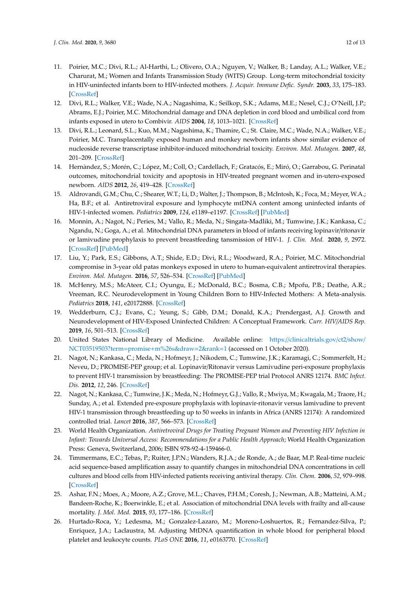- 11. Poirier, M.C.; Divi, R.L.; Al-Harthi, L.; Olivero, O.A.; Nguyen, V.; Walker, B.; Landay, A.L.; Walker, V.E.; Charurat, M.; Women and Infants Transmission Study (WITS) Group. Long-term mitochondrial toxicity in HIV-uninfected infants born to HIV-infected mothers. *J. Acquir. Immune Defic. Syndr.* **2003**, *33*, 175–183. [\[CrossRef\]](http://dx.doi.org/10.1097/00126334-200306010-00010)
- 12. Divi, R.L.; Walker, V.E.; Wade, N.A.; Nagashima, K.; Seilkop, S.K.; Adams, M.E.; Nesel, C.J.; O'Neill, J.P.; Abrams, E.J.; Poirier, M.C. Mitochondrial damage and DNA depletion in cord blood and umbilical cord from infants exposed in utero to Combivir. *AIDS* **2004**, *18*, 1013–1021. [\[CrossRef\]](http://dx.doi.org/10.1097/00002030-200404300-00009)
- 13. Divi, R.L.; Leonard, S.L.; Kuo, M.M.; Nagashima, K.; Thamire, C.; St. Claire, M.C.; Wade, N.A.; Walker, V.E.; Poirier, M.C. Transplacentally exposed human and monkey newborn infants show similar evidence of nucleoside reverse transcriptase inhibitor-induced mitochondrial toxicity. *Environ. Mol. Mutagen.* **2007**, *48*, 201–209. [\[CrossRef\]](http://dx.doi.org/10.1002/em.20201)
- 14. Hernàndez, S.; Morén, C.; López, M.; Coll, O.; Cardellach, F.; Gratacós, E.; Miró, O.; Garrabou, G. Perinatal outcomes, mitochondrial toxicity and apoptosis in HIV-treated pregnant women and in-utero-exposed newborn. *AIDS* **2012**, *26*, 419–428. [\[CrossRef\]](http://dx.doi.org/10.1097/QAD.0b013e32834f3232)
- 15. Aldrovandi, G.M.; Chu, C.; Shearer, W.T.; Li, D.; Walter, J.; Thompson, B.; McIntosh, K.; Foca, M.; Meyer, W.A.; Ha, B.F.; et al. Antiretroviral exposure and lymphocyte mtDNA content among uninfected infants of HIV-1-infected women. *Pediatrics* **2009**, *124*, e1189–e1197. [\[CrossRef\]](http://dx.doi.org/10.1542/peds.2008-2771) [\[PubMed\]](http://www.ncbi.nlm.nih.gov/pubmed/19933732)
- 16. Monnin, A.; Nagot, N.; Peries, M.; Vallo, R.; Meda, N.; Singata-Madliki, M.; Tumwine, J.K.; Kankasa, C.; Ngandu, N.; Goga, A.; et al. Mitochondrial DNA parameters in blood of infants receiving lopinavir/ritonavir or lamivudine prophylaxis to prevent breastfeeding tansmission of HIV-1. *J. Clin. Med.* **2020**, *9*, 2972. [\[CrossRef\]](http://dx.doi.org/10.3390/jcm9092972) [\[PubMed\]](http://www.ncbi.nlm.nih.gov/pubmed/32937988)
- 17. Liu, Y.; Park, E.S.; Gibbons, A.T.; Shide, E.D.; Divi, R.L.; Woodward, R.A.; Poirier, M.C. Mitochondrial compromise in 3-year old patas monkeys exposed in utero to human-equivalent antiretroviral therapies. *Environ. Mol. Mutagen.* **2016**, *57*, 526–534. [\[CrossRef\]](http://dx.doi.org/10.1002/em.22033) [\[PubMed\]](http://www.ncbi.nlm.nih.gov/pubmed/27452341)
- 18. McHenry, M.S.; McAteer, C.I.; Oyungu, E.; McDonald, B.C.; Bosma, C.B.; Mpofu, P.B.; Deathe, A.R.; Vreeman, R.C. Neurodevelopment in Young Children Born to HIV-Infected Mothers: A Meta-analysis. *Pediatrics* **2018**, *141*, e20172888. [\[CrossRef\]](http://dx.doi.org/10.1542/peds.2017-2888)
- 19. Wedderburn, C.J.; Evans, C.; Yeung, S.; Gibb, D.M.; Donald, K.A.; Prendergast, A.J. Growth and Neurodevelopment of HIV-Exposed Uninfected Children: A Conceptual Framework. *Curr. HIV*/*AIDS Rep.* **2019**, *16*, 501–513. [\[CrossRef\]](http://dx.doi.org/10.1007/s11904-019-00459-0)
- 20. United States National Library of Medicine. Available online: https://[clinicaltrials.gov](https://clinicaltrials.gov/ct2/show/NCT03519503?term=promise+m%26s&draw=2&rank=1)/ct2/show/ [NCT03519503?term](https://clinicaltrials.gov/ct2/show/NCT03519503?term=promise+m%26s&draw=2&rank=1)=promise+m%26s&draw=2&rank=1 (accessed on 1 October 2020).
- 21. Nagot, N.; Kankasa, C.; Meda, N.; Hofmeyr, J.; Nikodem, C.; Tumwine, J.K.; Karamagi, C.; Sommerfelt, H.; Neveu, D.; PROMISE-PEP group; et al. Lopinavir/Ritonavir versus Lamivudine peri-exposure prophylaxis to prevent HIV-1 transmission by breastfeeding: The PROMISE-PEP trial Protocol ANRS 12174. *BMC Infect. Dis.* **2012**, *12*, 246. [\[CrossRef\]](http://dx.doi.org/10.1186/1471-2334-12-246)
- 22. Nagot, N.; Kankasa, C.; Tumwine, J.K.; Meda, N.; Hofmeyr, G.J.; Vallo, R.; Mwiya, M.; Kwagala, M.; Traore, H.; Sunday, A.; et al. Extended pre-exposure prophylaxis with lopinavir-ritonavir versus lamivudine to prevent HIV-1 transmission through breastfeeding up to 50 weeks in infants in Africa (ANRS 12174): A randomized controlled trial. *Lancet* **2016**, *387*, 566–573. [\[CrossRef\]](http://dx.doi.org/10.1016/S0140-6736(15)00984-8)
- 23. World Health Organization. *Antiretroviral Drugs for Treating Pregnant Women and Preventing HIV Infection in Infant: Towards Universal Access: Recommendations for a Public Health Approach*; World Health Organization Press: Geneva, Switzerland, 2006; ISBN 978-92-4-159466-0.
- 24. Timmermans, E.C.; Tebas, P.; Ruiter, J.P.N.; Wanders, R.J.A.; de Ronde, A.; de Baar, M.P. Real-time nucleic acid sequence-based amplification assay to quantify changes in mitochondrial DNA concentrations in cell cultures and blood cells from HIV-infected patients receiving antiviral therapy. *Clin. Chem.* **2006**, *52*, 979–998. [\[CrossRef\]](http://dx.doi.org/10.1373/clinchem.2005.062901)
- 25. Ashar, F.N.; Moes, A.; Moore, A.Z.; Grove, M.L.; Chaves, P.H.M.; Coresh, J.; Newman, A.B.; Matteini, A.M.; Bandeen-Roche, K.; Boerwinkle, E.; et al. Association of mitochondrial DNA levels with frailty and all-cause mortality. *J. Mol. Med.* **2015**, *93*, 177–186. [\[CrossRef\]](http://dx.doi.org/10.1007/s00109-014-1233-3)
- 26. Hurtado-Roca, Y.; Ledesma, M.; Gonzalez-Lazaro, M.; Moreno-Loshuertos, R.; Fernandez-Silva, P.; Enriquez, J.A.; Laclaustra, M. Adjusting MtDNA quantification in whole blood for peripheral blood platelet and leukocyte counts. *PLoS ONE* **2016**, *11*, e0163770. [\[CrossRef\]](http://dx.doi.org/10.1371/journal.pone.0163770)